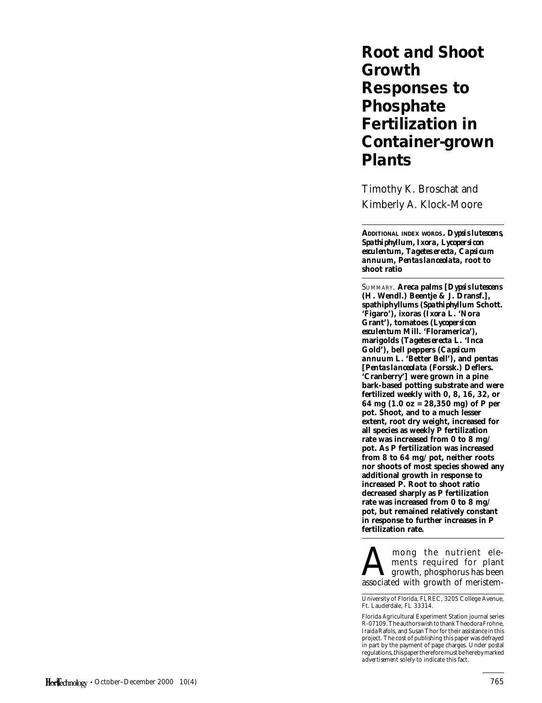# **Root and Shoot Growth Responses to Phosphate Fertilization in Container-grown Plants**

Timothy K. Broschat and Kimberly A. Klock-Moore

**ADDITIONAL INDEX WORDS.** *Dypsis lutescens***,** *Spathiphyllum, Ixora***,** *Lycopersicon esculentum***,** *Tagetes erecta***,** *Capsicum annuum***,** *Pentas lanceolata***, root to shoot ratio**

SUMMARY. **Areca palms [***Dypsis lutescens* **(H. Wendl.) Beentje & J. Dransf.], spathiphyllums (***Spathiphyllum* **Schott. 'Figaro'), ixoras (***Ixora* **L. 'Nora Grant'), tomatoes (***Lycopersicon esculentum* **Mill. 'Floramerica'), marigolds (***Tagetes erecta* **L. 'Inca Gold'), bell peppers (***Capsicum annuum* **L. 'Better Bell'), and pentas [***Pentas lanceolata* **(Forssk.) Deflers. 'Cranberry'] were grown in a pine bark-based potting substrate and were fertilized weekly with 0, 8, 16, 32, or 64 mg (1.0 oz = 28,350 mg) of P per pot. Shoot, and to a much lesser extent, root dry weight, increased for all species as weekly P fertilization rate was increased from 0 to 8 mg/ pot. As P fertilization was increased from 8 to 64 mg/pot, neither roots nor shoots of most species showed any additional growth in response to increased P. Root to shoot ratio decreased sharply as P fertilization rate was increased from 0 to 8 mg/ pot, but remained relatively constant in response to further increases in P fertilization rate.**

A mong the nutrient ele-<br>ments required for plant<br>associated with growth of meristemments required for plant growth, phosphorus has been associated with growth of meristem-

University of Florida, FLREC, 3205 College Avenue, Ft. Lauderdale, FL 33314.

Florida Agricultural Experiment Station journal series R-07109. The authors wish to thank Theodora Frohne, Iraida Rafols, and Susan Thor for their assistance in this project. The cost of publishing this paper was defrayed in part by the payment of page charges. Under postal regulations, this paper therefore must be hereby marked *advertisement* solely to indicate this fact.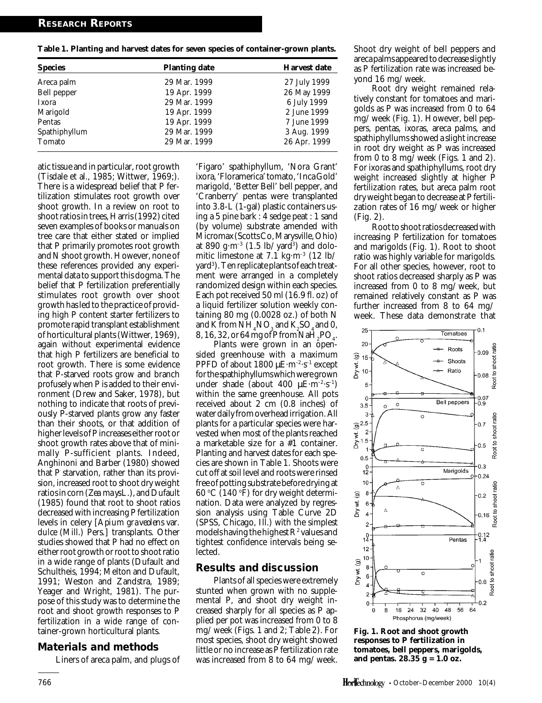**Table 1. Planting and harvest dates for seven species of container-grown plants.**

| <b>Species</b> | <b>Planting date</b> | <b>Harvest date</b> |  |
|----------------|----------------------|---------------------|--|
| Areca palm     | 29 Mar. 1999         | 27 July 1999        |  |
| Bell pepper    | 19 Apr. 1999         | 26 May 1999         |  |
| Ixora          | 29 Mar. 1999         | 6 July 1999         |  |
| Marigold       | 19 Apr. 1999         | 2 June 1999         |  |
| Pentas         | 19 Apr. 1999         | 7 June 1999         |  |
| Spathiphyllum  | 29 Mar. 1999         | 3 Aug. 1999         |  |
| Tomato         | 29 Mar. 1999         | 26 Apr. 1999        |  |

atic tissue and in particular, root growth (Tisdale et al., 1985; Wittwer, 1969;). There is a widespread belief that P fertilization stimulates root growth over shoot growth. In a review on root to shoot ratios in trees, Harris (1992) cited seven examples of books or manuals on tree care that either stated or implied that P primarily promotes root growth and N shoot growth. However, none of these references provided any experimental data to support this dogma. The belief that P fertilization preferentially stimulates root growth over shoot growth has led to the practice of providing high P content starter fertilizers to promote rapid transplant establishment of horticultural plants (Wittwer, 1969), again without experimental evidence that high P fertilizers are beneficial to root growth. There is some evidence that P-starved roots grow and branch profusely when P is added to their environment (Drew and Saker, 1978), but nothing to indicate that roots of previously P-starved plants grow any faster than their shoots, or that addition of higher levels of P increases either root or shoot growth rates above that of minimally P-sufficient plants. Indeed, Anghinoni and Barber (1980) showed that P starvation, rather than its provision, increased root to shoot dry weight ratios in corn (*Zea mays* L.), and Dufault (1985) found that root to shoot ratios decreased with increasing P fertilization levels in celery [*Apium graveolens* var. *dulce* (Mill.) Pers.] transplants. Other studies showed that P had no effect on either root growth or root to shoot ratio in a wide range of plants (Dufault and Schultheis, 1994; Melton and Dufault, 1991; Weston and Zandstra, 1989; Yeager and Wright, 1981). The purpose of this study was to determine the root and shoot growth responses to P fertilization in a wide range of container-grown horticultural plants.

## **Materials and methods**

Liners of areca palm, and plugs of

'Figaro' spathiphyllum, 'Nora Grant' ixora, 'Floramerica' tomato, 'Inca Gold' marigold, 'Better Bell' bell pepper, and 'Cranberry' pentas were transplanted into 3.8-L (1-gal) plastic containers using a 5 pine bark : 4 sedge peat : 1 sand (by volume) substrate amended with Micromax (Scotts Co, Marysville, Ohio) at 890  $\rm g\cdot m^{\text{-}3}$  (1.5 lb/yard $^{\text{3}}$ ) and dolomitic limestone at 7.1 kg·m<sup>-3</sup> (12 lb/ yard<sup>3</sup>). Ten replicate plants of each treatment were arranged in a completely randomized design within each species. Each pot received 50 ml (16.9 fl. oz) of a liquid fertilizer solution weekly containing 80 mg  $(0.0028 \text{ oz.})$  of both N and K from  $NH_4NO_3$  and  $K_2SO_4$  and 0, 8, 16, 32, or 64 mg of P from  $\text{NaH}_{2}\text{PO}_{4}$ .

Plants were grown in an opensided greenhouse with a maximum PPFD of about  $1800 \mu E \cdot m^{-2} \cdot s^{-1}$  except for the spathiphyllums which were grown under shade (about 400  $\mu$ E·m<sup>-2</sup>·s<sup>-1</sup>) within the same greenhouse. All pots received about 2 cm (0.8 inches) of water daily from overhead irrigation. All plants for a particular species were harvested when most of the plants reached a marketable size for a #1 container. Planting and harvest dates for each species are shown in Table 1. Shoots were cut off at soil level and roots were rinsed free of potting substrate before drying at  $60 °C$  (140  $°F$ ) for dry weight determination. Data were analyzed by regression analysis using Table Curve 2D (SPSS, Chicago, Ill.) with the simplest models having the highest  $R^{\scriptscriptstyle 2}$  values and tightest confidence intervals being selected.

## **Results and discussion**

Plants of all species were extremely stunted when grown with no supplemental P, and shoot dry weight increased sharply for all species as P applied per pot was increased from 0 to 8 mg/week (Figs. 1 and 2; Table 2). For most species, shoot dry weight showed little or no increase as P fertilization rate was increased from 8 to 64 mg/week. Shoot dry weight of bell peppers and areca palms appeared to decrease slightly as P fertilization rate was increased beyond 16 mg/week.

Root dry weight remained relatively constant for tomatoes and marigolds as P was increased from 0 to 64 mg/week (Fig. 1). However, bell peppers, pentas, ixoras, areca palms, and spathiphyllums showed a slight increase in root dry weight as P was increased from 0 to 8 mg/week (Figs. 1 and 2). For ixoras and spathiphyllums, root dry weight increased slightly at higher P fertilization rates, but areca palm root dry weight began to decrease at P fertilization rates of 16 mg/week or higher (Fig. 2).

Root to shoot ratios decreased with increasing P fertilization for tomatoes and marigolds (Fig. 1). Root to shoot ratio was highly variable for marigolds. For all other species, however, root to shoot ratios decreased sharply as P was increased from 0 to 8 mg/week, but remained relatively constant as P was further increased from 8 to 64 mg/ week. These data demonstrate that



**Fig. 1. Root and shoot growth responses to P fertilization in tomatoes, bell peppers, marigolds, and pentas. 28.35 g = 1.0 oz.**